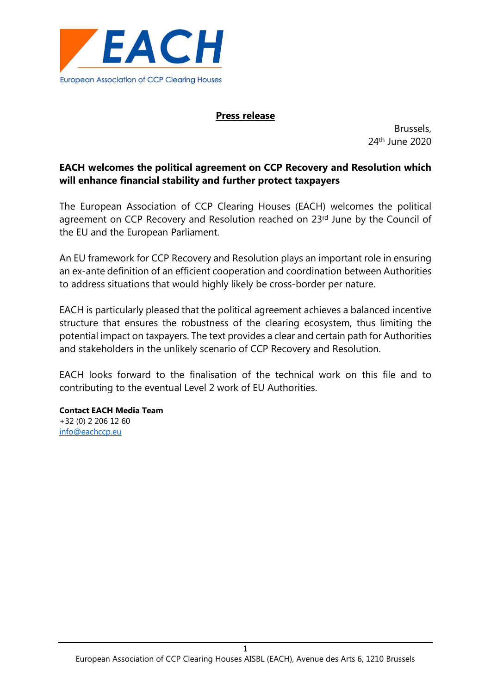

## Press release

Brussels, 24th June 2020

# EACH welcomes the political agreement on CCP Recovery and Resolution which will enhance financial stability and further protect taxpayers

The European Association of CCP Clearing Houses (EACH) welcomes the political agreement on CCP Recovery and Resolution reached on 23rd June by the Council of the EU and the European Parliament.

An EU framework for CCP Recovery and Resolution plays an important role in ensuring an ex-ante definition of an efficient cooperation and coordination between Authorities to address situations that would highly likely be cross-border per nature.

EACH is particularly pleased that the political agreement achieves a balanced incentive structure that ensures the robustness of the clearing ecosystem, thus limiting the potential impact on taxpayers. The text provides a clear and certain path for Authorities and stakeholders in the unlikely scenario of CCP Recovery and Resolution.

EACH looks forward to the finalisation of the technical work on this file and to contributing to the eventual Level 2 work of EU Authorities.

Contact EACH Media Team +32 (0) 2 206 12 60 info@eachccp.eu

1